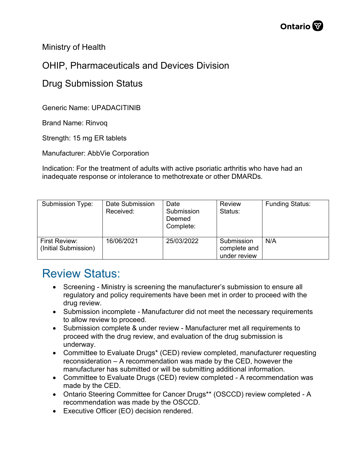Ministry of Health

## OHIP, Pharmaceuticals and Devices Division

## Drug Submission Status

Generic Name: UPADACITINIB

Brand Name: Rinvoq

Strength: 15 mg ER tablets

Manufacturer: AbbVie Corporation

Indication: For the treatment of adults with active psoriatic arthritis who have had an inadequate response or intolerance to methotrexate or other DMARDs.

| Submission Type:                      | Date Submission<br>Received: | Date<br>Submission<br>Deemed<br>Complete: | <b>Review</b><br>Status:                   | <b>Funding Status:</b> |
|---------------------------------------|------------------------------|-------------------------------------------|--------------------------------------------|------------------------|
| First Review:<br>(Initial Submission) | 16/06/2021                   | 25/03/2022                                | Submission<br>complete and<br>under review | N/A                    |

## Review Status:

- Screening Ministry is screening the manufacturer's submission to ensure all regulatory and policy requirements have been met in order to proceed with the drug review.
- Submission incomplete Manufacturer did not meet the necessary requirements to allow review to proceed.
- Submission complete & under review Manufacturer met all requirements to proceed with the drug review, and evaluation of the drug submission is underway.
- Committee to Evaluate Drugs\* (CED) review completed, manufacturer requesting reconsideration – A recommendation was made by the CED, however the manufacturer has submitted or will be submitting additional information.
- Committee to Evaluate Drugs (CED) review completed A recommendation was made by the CED.
- Ontario Steering Committee for Cancer Drugs\*\* (OSCCD) review completed A recommendation was made by the OSCCD.
- Executive Officer (EO) decision rendered.